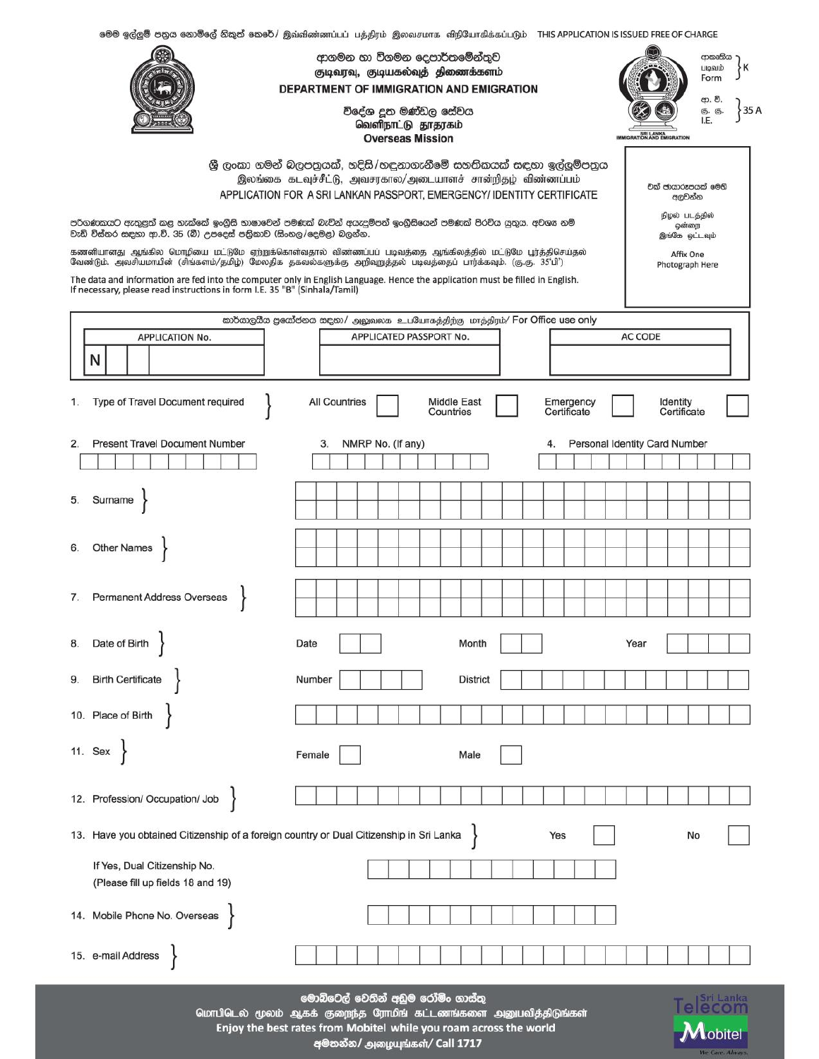|                                                                                                                                                                                                             | DEPARTMENT OF IMMIGRATION AND EMIGRATION                                                                                                                                                                                                                                                                                                                                                                                                                                                     | ආකෘතිය<br>۰K<br>படிவம்<br>Form<br>ආ. වි.<br>35 A<br>கு. கு.<br>I.E.                                  |                                      |  |  |  |  |  |  |
|-------------------------------------------------------------------------------------------------------------------------------------------------------------------------------------------------------------|----------------------------------------------------------------------------------------------------------------------------------------------------------------------------------------------------------------------------------------------------------------------------------------------------------------------------------------------------------------------------------------------------------------------------------------------------------------------------------------------|------------------------------------------------------------------------------------------------------|--------------------------------------|--|--|--|--|--|--|
|                                                                                                                                                                                                             | වක් ජායාරූපයක් මෙහි<br>ඇලවන්න                                                                                                                                                                                                                                                                                                                                                                                                                                                                |                                                                                                      |                                      |  |  |  |  |  |  |
|                                                                                                                                                                                                             | நிழல் படத்தில்<br>පරිගණකයට ඇතුළත් කළ හැක්කේ ඉංගීුසි භාෂාවෙන් පමණක් බැව්න් අයැදුම්පත් ඉංගීුසියෙන් පමණක් පිරව්ය යුතුය. අවශ⁄ නම්<br>ஒன்றை<br>වැඩි විස්තර සඳහා ආ.වි. 35 (බී) උපදෙස් පතිකාව (සිංහල/දෙමළ) බලන්න.<br>இங்கே ஒட்டவும்<br>கணனியானது ஆங்கில மொழியை மட்டுமே ஏற்றுக்கொள்வதால் விண்ணப்பப் படிவத்தை ஆங்கிலத்தில் மட்டுமே பூர்த்திசெய்தல்<br>Affix One<br>வேண்டும். அவசியமாயின் (சிங்களம்/தமிழ்) மேலதிக தகவல்களுக்கு அறிவுறுத்தல் படிவத்தைப் பார்க்கவும். (கு.கு. 35'பி')<br>Photograph Here |                                                                                                      |                                      |  |  |  |  |  |  |
| The data and information are fed into the computer only in English Language. Hence the application must be filled in English.<br>If necessary, please read instructions in form I.E. 35 "B" (Sinhala/Tamil) |                                                                                                                                                                                                                                                                                                                                                                                                                                                                                              |                                                                                                      |                                      |  |  |  |  |  |  |
|                                                                                                                                                                                                             | வற்றேடுகே ஜனிச்சுக் கூஜ் அலுவலக உபயோகத்திற்கு மாத்திரம்/ For Office use only<br>APPLICATED PASSPORT No.<br><b>APPLICATION No.</b><br>AC CODE<br>N                                                                                                                                                                                                                                                                                                                                            |                                                                                                      |                                      |  |  |  |  |  |  |
| 1.                                                                                                                                                                                                          | Type of Travel Document required                                                                                                                                                                                                                                                                                                                                                                                                                                                             | <b>All Countries</b><br>Middle East<br>Emergency<br>Certificate<br>Countries                         | Identity<br>Certificate              |  |  |  |  |  |  |
| 2.                                                                                                                                                                                                          | <b>Present Travel Document Number</b>                                                                                                                                                                                                                                                                                                                                                                                                                                                        | 3.<br>NMRP No. (If any)<br>4.                                                                        | <b>Personal Identity Card Number</b> |  |  |  |  |  |  |
| 5.                                                                                                                                                                                                          | Surname                                                                                                                                                                                                                                                                                                                                                                                                                                                                                      |                                                                                                      |                                      |  |  |  |  |  |  |
| 6.                                                                                                                                                                                                          | Other Names                                                                                                                                                                                                                                                                                                                                                                                                                                                                                  |                                                                                                      |                                      |  |  |  |  |  |  |
| 7.                                                                                                                                                                                                          | Permanent Address Overseas                                                                                                                                                                                                                                                                                                                                                                                                                                                                   |                                                                                                      |                                      |  |  |  |  |  |  |
| 8.                                                                                                                                                                                                          | Date of Birth                                                                                                                                                                                                                                                                                                                                                                                                                                                                                | Date<br>Month                                                                                        | Year                                 |  |  |  |  |  |  |
| 9.                                                                                                                                                                                                          | <b>Birth Certificate</b>                                                                                                                                                                                                                                                                                                                                                                                                                                                                     | Number<br><b>District</b>                                                                            |                                      |  |  |  |  |  |  |
|                                                                                                                                                                                                             | 10. Place of Birth                                                                                                                                                                                                                                                                                                                                                                                                                                                                           |                                                                                                      |                                      |  |  |  |  |  |  |
|                                                                                                                                                                                                             | 11. Sex                                                                                                                                                                                                                                                                                                                                                                                                                                                                                      | Female<br>Male                                                                                       |                                      |  |  |  |  |  |  |
|                                                                                                                                                                                                             | 12. Profession/ Occupation/ Job                                                                                                                                                                                                                                                                                                                                                                                                                                                              |                                                                                                      |                                      |  |  |  |  |  |  |
|                                                                                                                                                                                                             | 13. Have you obtained Citizenship of a foreign country or Dual Citizenship in Sri Lanka<br>Yes<br>No                                                                                                                                                                                                                                                                                                                                                                                         |                                                                                                      |                                      |  |  |  |  |  |  |
|                                                                                                                                                                                                             | If Yes, Dual Citizenship No.<br>(Please fill up fields 18 and 19)                                                                                                                                                                                                                                                                                                                                                                                                                            |                                                                                                      |                                      |  |  |  |  |  |  |
|                                                                                                                                                                                                             | 14. Mobile Phone No. Overseas                                                                                                                                                                                                                                                                                                                                                                                                                                                                |                                                                                                      |                                      |  |  |  |  |  |  |
|                                                                                                                                                                                                             | 15. e-mail Address                                                                                                                                                                                                                                                                                                                                                                                                                                                                           |                                                                                                      |                                      |  |  |  |  |  |  |
|                                                                                                                                                                                                             |                                                                                                                                                                                                                                                                                                                                                                                                                                                                                              | මොබ්ටෙල් වෙතින් අඩුම රෝමිං ගාස්තු<br>மொபிடெல் மூலம் ஆகக் குறைந்த ரோமிங் கட்டணங்களை அனுபவித்திடுங்கள் | <b>Sri Lanka</b>                     |  |  |  |  |  |  |

මෙම ඉල්ලුම් පතුය නොමිලේ නිකුත් කෙරේ/ இவ்விண்ணப்பப் பத்திரம் இலவசமாக விநியோகிக்கப்படும் THIS APPLICATION IS ISSUED FREE OF CHARGE

Enjoy the best rates from Mobitel while you roam across the world අමතන්න/ அழையுங்கள்/ Call 1717

Mobitel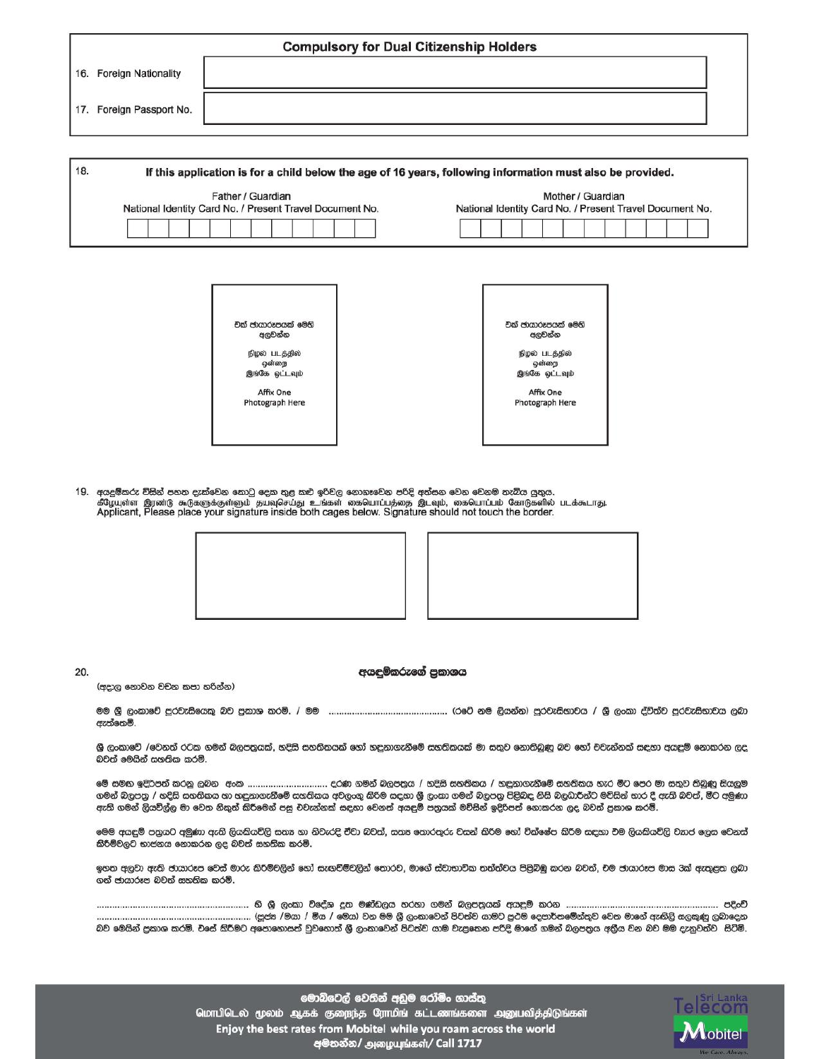| <b>Compulsory for Dual Citizenship Holders</b> |  |  |  |  |  |
|------------------------------------------------|--|--|--|--|--|
| 16. Foreign Nationality                        |  |  |  |  |  |
| 17. Foreign Passport No.                       |  |  |  |  |  |
|                                                |  |  |  |  |  |

| If this application is for a child below the age of 16 years, following information must also be provided. |                                                                               |  |  |
|------------------------------------------------------------------------------------------------------------|-------------------------------------------------------------------------------|--|--|
| Father / Guardian<br>National Identity Card No. / Present Travel Document No.                              | Mother / Guardian<br>National Identity Card No. / Present Travel Document No. |  |  |
|                                                                                                            |                                                                               |  |  |



19. අයදුම්කරු විසින් පහත දැක්වෙන කොටු දෙක තුළ කළු ඉරිවල නොගෑවෙන පරිදි අත්සන වෙන වෙනම තැබිය යුතුය. கீழேயுள்ள இரண்டு கூடுகளுக்குள்ளும் தயவுசெய்து உங்கள் கையொப்பத்தை இடவும், கையொப்பம் கோடுகளில் படக்கூடாது.<br>Applicant, Please place your signature inside both cages below. Signature should not touch the border.





20.

## අයඳුම්කරුගේ පුකාශය

(අදාල නොවන වචන කපා හරින්න)

@@ ® @o~)C§~ ~6E>~8C§ref:i) 12)E:> ~~)~ ~6@. I @@ .............................................. (6@0 el>@ ~reeDel>) ~6E>~Bes:>)E:lre I ® @o~) ~~mEl ~6E>~BtmE>re @12)) ej!~rne§rn@.

ලි ලංකාවේ /වෙනත් රටක ගමන් බලපතුයක්, හදිසි සහතිකයක් හෝ හඳුනාගැනීමේ සහතිකයක් මා සතුව නොතිවුණු බව හෝ වවැන්නක් සඳහා අයඳුම් නොකරන ලද බවත් මෙයින් සහතික කරමි.

මේ සමඟ ඉදිරිපත් කරනු ලබන අංක …………………………. දරණ ගමන් බලපතුය / හදිසි සහතිකය / හඳුනාගැනීමේ සහතිකය හැර මීට පෙර මා සතුව තිබුණු සියලුම ගමන් බලපතු / හදිසි සහතිකය හා හඳුනාගැනීමේ සහතිකය අවලංගු කිරිම සඳහා ශී ලංකා ගමන් බලපතු පිළිබඳ නිසි බලධාරීන්ට මව්සින් හාර දී ඇති බවත්, මීට අමුණා ඇති ගමන් ලියවිල්ල මා වෙත නිකුත් කිරිමෙන් පසු වචැන්නක් සඳහා වෙනත් අයඳුම් පතුයක් මව්සින් ඉදිරිපත් නොකරන ලද බවත් පුකාශ කරමි.

මෙම අයඳුම් පනුයට අමුණා ඇති ලියකියවිලි සත¤ හා නිවැරදි ඒවා බවත්, සත¤ තොරතුරු වසන් කිරිම හෝ වික්ෂේප කිරිම සඳහා එම ලියකියවිලි වනජ ලෙස වෙනස් කිරිම්වලට භාජනය නොකරන ලද බවත් සහතික කරමි.

ඉහත අලවා ඇති ජායාරූප වෙස් මාරු කිරීම්වලින් හෝ සැඟවීම්වලින් තොරව, මාගේ ස්වාභාවික තත්ත්වය පිළිබිඹු කරන බවත්, එම ජායාරූප මාස 3ක් ඇතුළත ලබා ගත් ජායාරූප බවත් සහතික කරමි.

........................................................... ~ ® @o~) ~@~~ ~rn @~©re es:>Oes:>) G>@eD 12)@o~re~ ej!re~~ ~6el> ........................................................... oeot) ............................................................ <gozs /@(B) I @re I C§@re) Elel> @@ ® @o~)C§E:leD BOrnE> re)@() ~c:J@ @~O)tlrnC§~eD~El C§E:lrn @)@ciS ej!~~~ el@f:il~ @12})C§~el> 12)E> C§@E5eD ~~)~ ~o@. e>C§e.i ~e>®o ej!@O)C§es:>)e~rn ~E:l@es:>)rn ® ©o~)C§E:leD BOrnE> re)@ E>~\9@~el> or,e @)@ciS G>®eD 12)©o~re ej!@re E>el> 12)E> ®® ~~@E>rnE> *BO@.* 

> <u>මොබිටෙල්</u> වෙතින් අඩුම රෝමිං ගාස්තු மொபிடெல் மூலம் ஆகக் குறைந்த ரோமிங் கட்டணங்களை அனுபவித்திடுங்கள் Enjoy the best rates from Mobitel while you roam across the world  $\blacksquare$ අමතන්න/ அழையுங்கள்/ Call 1717

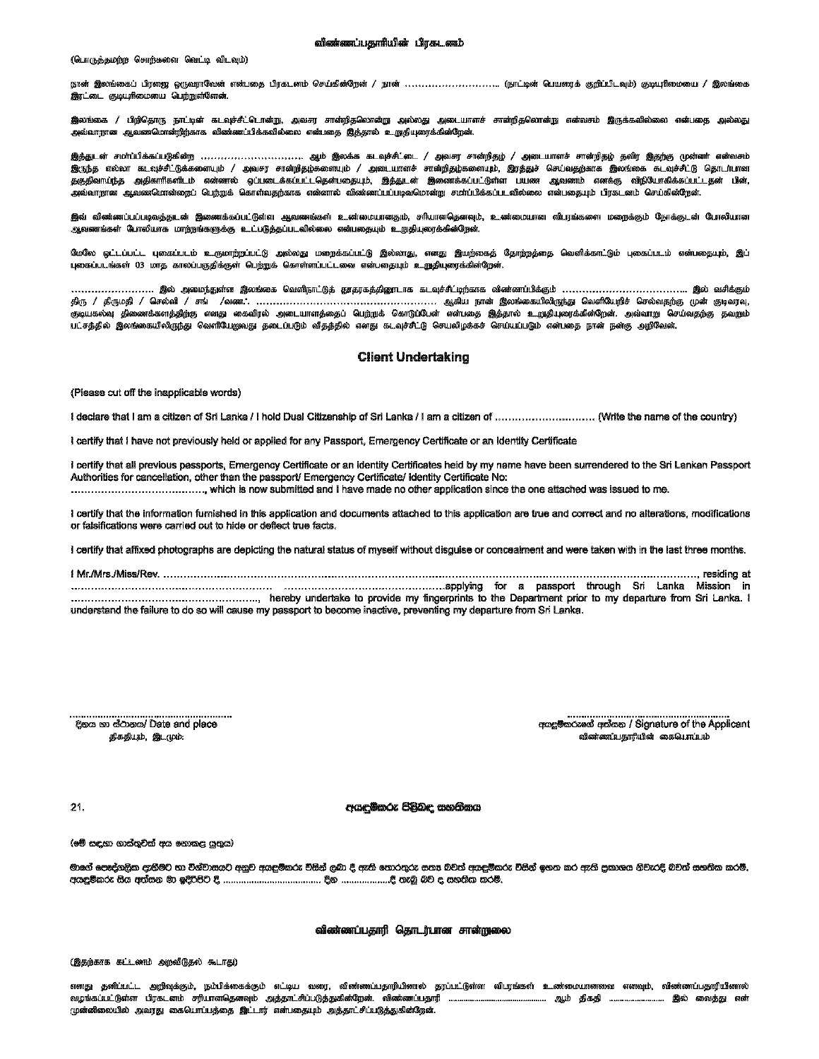(பொருத்தமற்ற சொற்களை வெட்டி விடவும்)

.<br>இரட்டை குடியுரிமையை பெற்றுள்ளேன்.

.<br>இலங்கை / பீறிதொரு நாட்டின் கடவுச்சீட்டொன்று, அவசர சான்றீதலொன்று அல்லது அடையாளச் சான்றிதலொன்று என்வசம் இருக்கவில்லை என்பதை அல்லது .<br>அவ்வாறான ஆவணமொன்றிற்காக விண்ணப்பிக்கவில்லை என்பதை இத்தால் உ.ருதியுரைக்கின்றேன்.

.<br>இருந்த எல்லா கடவுச்சீட்டுக்களையும் / அவசர சான்றிதழ்களையும் / அடையாளச் சான்றிதழ்களையு**ம், இரத்துச் செய்தை**காக இலங்கை கடவுச்சீட்டு தொடாயான .<br>தகுதிவாய்ந்த அதிகாரிகளிடம் என்னால் ஒப்படைக்கப்பட்டதென்பதையும், இத்துடன் இணைக்கப்பட்டுள்ள பயண ஆவணம் எனக்கு விநியோகிக்கப்பட்டதன் பின், .<br>அவ்வாறான ஆவணமொன்றைப் பெற்றுக் கொள்வதற்காக என்னால் விண்ணப்பப்படிவமொன்று சமாப்பிக்கப்படவில்லை என்பதையும் பிரகடனம் செய்கின்றேன்.

.<br>இவ் விண்ணப்பட்படிவத்துடன் இணைக்கப்பட்டுள்ள ஆவணங்கள் உண்மையானதும், சரியானதெனவும், உண்மையான விபரங்களை மறைக்கும் போகு ஆவணங்கள் போலியாக மாற்றங்களுக்கு உட்படுத்தப்படவில்லை என்பதையும் உறுதியுரைக்<mark>கின்</mark>றேன்.

.<br>மேலே ஒட்டப்பட்ட புகைப்படம் உருமாற்றப்பட்டு அல்லது மறைக்கப்பட்டு இல்லாது, எனது இயற்கைத் தோற்றத்தை வெளிக்காட்டும் புகைப்படம் என்பதையும், இப் புகைப்படங்கள் 03 மாத காலப்பகுதிக்குள் பெற்றுக் கொள்ளப்பட்டவை என்பதையும் உ.<mark>றுதியுரைக்கின்றேன்.</mark>

.<br>குடியகலவு திணைக்களத்திற்கு எனது கைவிரல் அடையாளத்தைப் பெற்றுக் கொடுப்பேன் என்பதை இத்தால் உறுதியுரைக்கின்றேன். அவ்வாறு செய்வதற்கு தவறும் பட்சத்தில் இலங்கையிலிருந்து வெளியேறுவது தடைப்படும் வீதத்தில் எனது கடவுச்சீட்டு செயலிழக்கச் செய்யப்படும் என்பதை நான் நன்கு அறிவேன்.

## **Client Undertaking**

(Please cut off the inapplicable words)

I certify that I have not previously held or applied for any Passport, Emergency Certificate or an Identity Certificate

I certify that all previous passports, Emergency Certificate or an identity Certificates heid by my name have been surrendered to the Sri Lankan Passport Authorities for cancellation, other than the passport/ Emergency Certificate/ Identity Certificate No:

I certify that the information furnished in this application and documents attached to this application are true and correct and no alterations, modifications or falsifications were carried out to hide or deflect true facts.

I certify that affixed photographs are depicting the natural status of myself without disguise or concealment and were taken with in the last three months.

.............. residina at understand the failure to do so will cause my passport to become inactive, preventing my departure from Sri Lanka.

දිනය හා ස්ථානය/ Date and place கிககியம், இடமும்:

අගදුම්කරුගේ අත්පන / Signature of the Applicant விண்ணப்பதூரியின் கையெரப்பம்

 $21$ 

අයළඹකරු පිළිබඳ සහගිකය

(මේ සඳහා ගාස්තුවක් අය නොකළ යුතුය)

මාගේ පෞද්ගලික දැනීමට හා විශ්වාසයට අනුව අයළමිකරු විසින් ලබා දී ඇති තොරතුරු සභඃ බවත් අයළමිකරු විසින් ඉහත කර ඇති පුකාශය නිවැරදි බවත් සහතික කරමි. 

## விண்ணப்பதாரி தொடர்பான சான்றுகை

(இதற்காக கட்டணம் அறவிடுதல் கூடாது)

.<br>எனது தவிப்பட்ட அறிவுக்கும், நம்பிக்கைக்கும் எட்டிய வரை, விண்ணப்பதாரியினால் தரப்பட்டுள்ள விபரங்கள் உண்மையானவை எனவும், விண்ணப்பதாரியினால் முன்னிலையில் அவரது கைபொப்பத்தை இட்டார் என்பதையும் அத்தாட்சிப்படுத்துகின்றேன்.